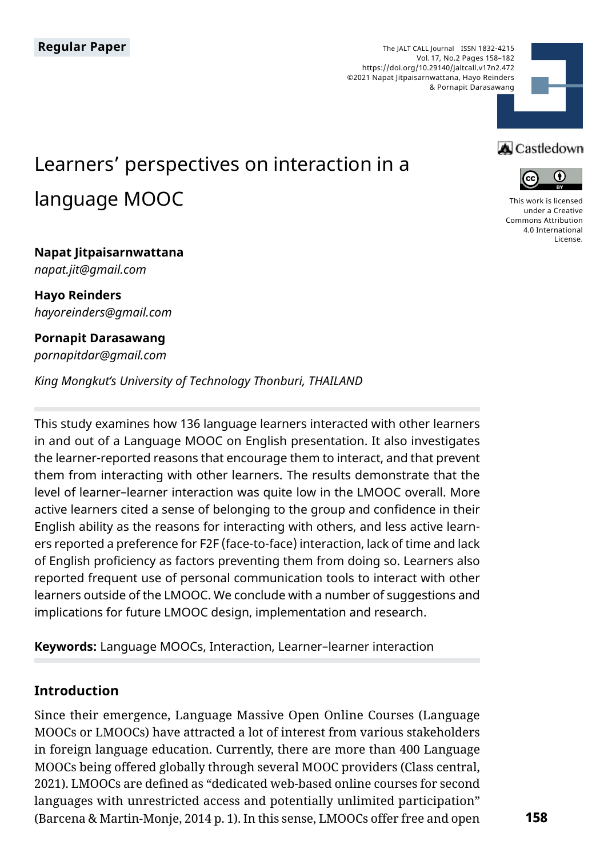The JALT CALL Journal ISSN 1832-4215 Vol. 17, No.2 Pages 158–182 https://doi.org/10.29140/jaltcall.v17n2.472 ©2021 Napat Jitpaisarnwattana, Hayo Reinders & Pornapit Darasawang



# Learners' perspectives on interaction in a language MOOC

### **Napat Jitpaisarnwattana** *napat.jit@gmail.com*

**Hayo Reinders** *hayoreinders@gmail.com*

**Pornapit Darasawang** *pornapitdar@gmail.com* 

*King Mongkut's University of Technology Thonburi, THAILAND*

This study examines how 136 language learners interacted with other learners in and out of a Language MOOC on English presentation. It also investigates the learner-reported reasons that encourage them to interact, and that prevent them from interacting with other learners. The results demonstrate that the level of learner–learner interaction was quite low in the LMOOC overall. More active learners cited a sense of belonging to the group and confidence in their English ability as the reasons for interacting with others, and less active learners reported a preference for F2F (face-to-face) interaction, lack of time and lack of English proficiency as factors preventing them from doing so. Learners also reported frequent use of personal communication tools to interact with other learners outside of the LMOOC. We conclude with a number of suggestions and implications for future LMOOC design, implementation and research.

**Keywords:** Language MOOCs, Interaction, Learner–learner interaction

# **Introduction**

Since their emergence, Language Massive Open Online Courses (Language MOOCs or LMOOCs) have attracted a lot of interest from various stakeholders in foreign language education. Currently, there are more than 400 Language MOOCs being offered globally through several MOOC providers (Class central, 2021). LMOOCs are defined as "dedicated web-based online courses for second languages with unrestricted access and potentially unlimited participation" (Barcena & Martin-Monje, 2014 p. 1). In this sense, LMOOCs offer free and open

# **A** Castledown



[This work is licensed](https://creativecommons.org/licenses/by/4.0/)  [under a Creative](https://creativecommons.org/licenses/by/4.0/)  [Commons Attribution](https://creativecommons.org/licenses/by/4.0/)  [4.0 International](https://creativecommons.org/licenses/by/4.0/)  [License](https://creativecommons.org/licenses/by/4.0/).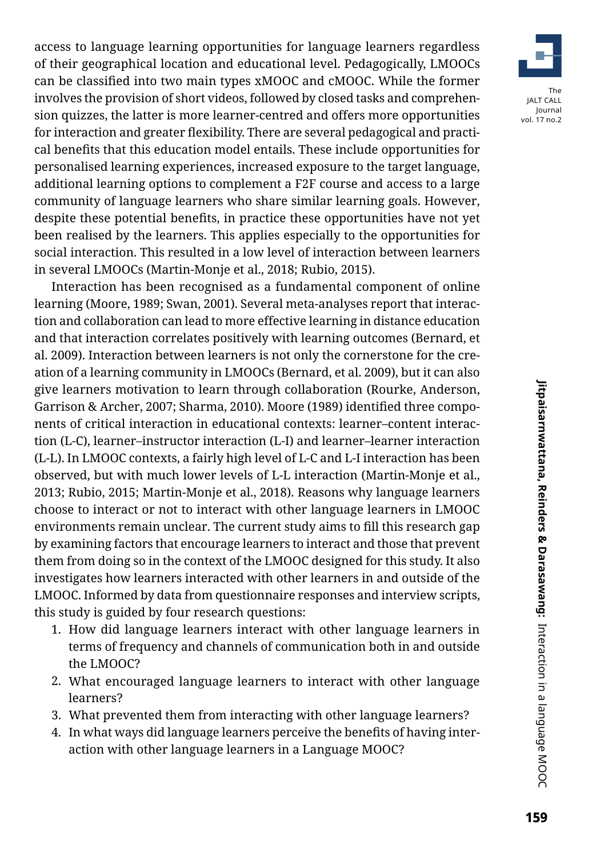access to language learning opportunities for language learners regardless of their geographical location and educational level. Pedagogically, LMOOCs can be classified into two main types xMOOC and cMOOC. While the former involves the provision of short videos, followed by closed tasks and comprehension quizzes, the latter is more learner-centred and offers more opportunities for interaction and greater flexibility. There are several pedagogical and practical benefits that this education model entails. These include opportunities for personalised learning experiences, increased exposure to the target language, additional learning options to complement a F2F course and access to a large community of language learners who share similar learning goals. However, despite these potential benefits, in practice these opportunities have not yet been realised by the learners. This applies especially to the opportunities for social interaction. This resulted in a low level of interaction between learners in several LMOOCs (Martin-Monje et al., 2018; Rubio, 2015).

Interaction has been recognised as a fundamental component of online learning (Moore, 1989; Swan, 2001). Several meta-analyses report that interaction and collaboration can lead to more effective learning in distance education and that interaction correlates positively with learning outcomes (Bernard, et al. 2009). Interaction between learners is not only the cornerstone for the creation of a learning community in LMOOCs (Bernard, et al. 2009), but it can also give learners motivation to learn through collaboration (Rourke, Anderson, Garrison & Archer, 2007; Sharma, 2010). Moore (1989) identified three components of critical interaction in educational contexts: learner–content interaction (L-C), learner–instructor interaction (L-I) and learner–learner interaction (L-L). In LMOOC contexts, a fairly high level of L-C and L-I interaction has been observed, but with much lower levels of L-L interaction (Martin-Monje et al., 2013; Rubio, 2015; Martin-Monje et al., 2018). Reasons why language learners choose to interact or not to interact with other language learners in LMOOC environments remain unclear. The current study aims to fill this research gap by examining factors that encourage learners to interact and those that prevent them from doing so in the context of the LMOOC designed for this study. It also investigates how learners interacted with other learners in and outside of the LMOOC. Informed by data from questionnaire responses and interview scripts, this study is guided by four research questions:

- 1. How did language learners interact with other language learners in terms of frequency and channels of communication both in and outside the LMOOC?
- 2. What encouraged language learners to interact with other language learners?
- 3. What prevented them from interacting with other language learners?
- 4. In what ways did language learners perceive the benefits of having interaction with other language learners in a Language MOOC?

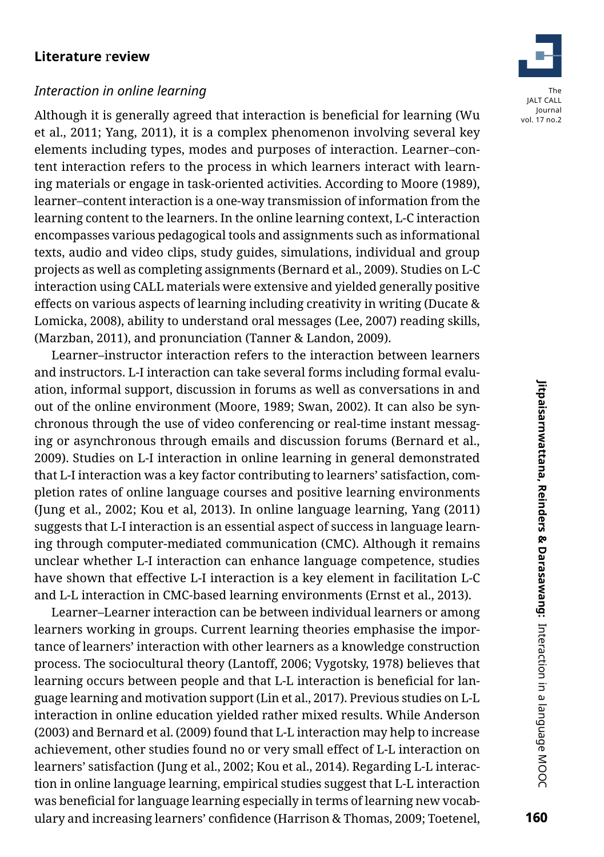### **Literature** r**eview**

### *Interaction in online learning*

Although it is generally agreed that interaction is beneficial for learning (Wu et al., 2011; Yang, 2011), it is a complex phenomenon involving several key elements including types, modes and purposes of interaction. Learner–content interaction refers to the process in which learners interact with learning materials or engage in task-oriented activities. According to Moore (1989), learner–content interaction is a one-way transmission of information from the learning content to the learners. In the online learning context, L-C interaction encompasses various pedagogical tools and assignments such as informational texts, audio and video clips, study guides, simulations, individual and group projects as well as completing assignments (Bernard et al., 2009). Studies on L-C interaction using CALL materials were extensive and yielded generally positive effects on various aspects of learning including creativity in writing (Ducate & Lomicka, 2008), ability to understand oral messages (Lee, 2007) reading skills, (Marzban, 2011), and pronunciation (Tanner & Landon, 2009).

Learner–instructor interaction refers to the interaction between learners and instructors. L-I interaction can take several forms including formal evaluation, informal support, discussion in forums as well as conversations in and out of the online environment (Moore, 1989; Swan, 2002). It can also be synchronous through the use of video conferencing or real-time instant messaging or asynchronous through emails and discussion forums (Bernard et al., 2009). Studies on L-I interaction in online learning in general demonstrated that L-I interaction was a key factor contributing to learners' satisfaction, completion rates of online language courses and positive learning environments (Jung et al., 2002; Kou et al, 2013). In online language learning, Yang (2011) suggests that L-I interaction is an essential aspect of success in language learning through computer-mediated communication (CMC). Although it remains unclear whether L-I interaction can enhance language competence, studies have shown that effective L-I interaction is a key element in facilitation L-C and L-L interaction in CMC-based learning environments (Ernst et al., 2013).

Learner–Learner interaction can be between individual learners or among learners working in groups. Current learning theories emphasise the importance of learners' interaction with other learners as a knowledge construction process. The sociocultural theory (Lantoff, 2006; Vygotsky, 1978) believes that learning occurs between people and that L-L interaction is beneficial for language learning and motivation support (Lin et al., 2017). Previous studies on L-L interaction in online education yielded rather mixed results. While Anderson (2003) and Bernard et al. (2009) found that L-L interaction may help to increase achievement, other studies found no or very small effect of L-L interaction on learners' satisfaction (Jung et al., 2002; Kou et al., 2014). Regarding L-L interaction in online language learning, empirical studies suggest that L-L interaction was beneficial for language learning especially in terms of learning new vocabulary and increasing learners' confidence (Harrison & Thomas, 2009; Toetenel,

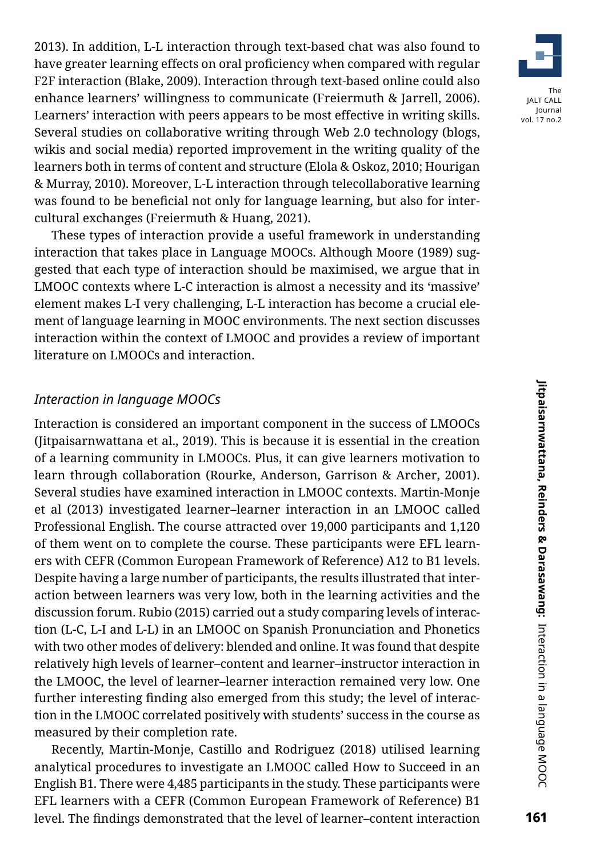2013). In addition, L-L interaction through text-based chat was also found to have greater learning effects on oral proficiency when compared with regular F2F interaction (Blake, 2009). Interaction through text-based online could also enhance learners' willingness to communicate (Freiermuth & Jarrell, 2006). Learners' interaction with peers appears to be most effective in writing skills. Several studies on collaborative writing through Web 2.0 technology (blogs, wikis and social media) reported improvement in the writing quality of the learners both in terms of content and structure (Elola & Oskoz, 2010; Hourigan & Murray, 2010). Moreover, L-L interaction through telecollaborative learning was found to be beneficial not only for language learning, but also for intercultural exchanges (Freiermuth & Huang, 2021).

These types of interaction provide a useful framework in understanding interaction that takes place in Language MOOCs. Although Moore (1989) suggested that each type of interaction should be maximised, we argue that in LMOOC contexts where L-C interaction is almost a necessity and its 'massive' element makes L-I very challenging, L-L interaction has become a crucial element of language learning in MOOC environments. The next section discusses interaction within the context of LMOOC and provides a review of important literature on LMOOCs and interaction.

### *Interaction in language MOOCs*

Interaction is considered an important component in the success of LMOOCs (Jitpaisarnwattana et al., 2019). This is because it is essential in the creation of a learning community in LMOOCs. Plus, it can give learners motivation to learn through collaboration (Rourke, Anderson, Garrison & Archer, 2001). Several studies have examined interaction in LMOOC contexts. Martin-Monje et al (2013) investigated learner–learner interaction in an LMOOC called Professional English. The course attracted over 19,000 participants and 1,120 of them went on to complete the course. These participants were EFL learners with CEFR (Common European Framework of Reference) A12 to B1 levels. Despite having a large number of participants, the results illustrated that interaction between learners was very low, both in the learning activities and the discussion forum. Rubio (2015) carried out a study comparing levels of interaction (L-C, L-I and L-L) in an LMOOC on Spanish Pronunciation and Phonetics with two other modes of delivery: blended and online. It was found that despite relatively high levels of learner–content and learner–instructor interaction in the LMOOC, the level of learner–learner interaction remained very low. One further interesting finding also emerged from this study; the level of interaction in the LMOOC correlated positively with students' success in the course as measured by their completion rate.

Recently, Martin-Monje, Castillo and Rodriguez (2018) utilised learning analytical procedures to investigate an LMOOC called How to Succeed in an English B1*.* There were 4,485 participants in the study. These participants were EFL learners with a CEFR (Common European Framework of Reference) B1 level. The findings demonstrated that the level of learner–content interaction

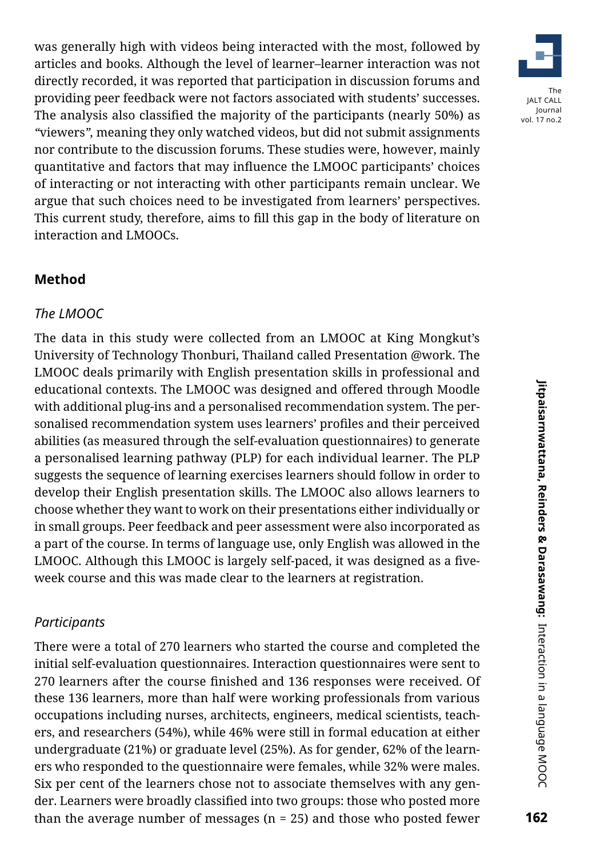was generally high with videos being interacted with the most, followed by articles and books. Although the level of learner–learner interaction was not directly recorded, it was reported that participation in discussion forums and providing peer feedback were not factors associated with students' successes. The analysis also classified the majority of the participants (nearly 50%) as *"*viewers*",* meaning they only watched videos, but did not submit assignments nor contribute to the discussion forums. These studies were, however, mainly quantitative and factors that may influence the LMOOC participants' choices of interacting or not interacting with other participants remain unclear. We argue that such choices need to be investigated from learners' perspectives. This current study, therefore, aims to fill this gap in the body of literature on interaction and LMOOCs.

### **Method**

### *The LMOOC*

The data in this study were collected from an LMOOC at King Mongkut's University of Technology Thonburi, Thailand called Presentation @work. The LMOOC deals primarily with English presentation skills in professional and educational contexts. The LMOOC was designed and offered through Moodle with additional plug-ins and a personalised recommendation system. The personalised recommendation system uses learners' profiles and their perceived abilities (as measured through the self-evaluation questionnaires) to generate a personalised learning pathway (PLP) for each individual learner. The PLP suggests the sequence of learning exercises learners should follow in order to develop their English presentation skills. The LMOOC also allows learners to choose whether they want to work on their presentations either individually or in small groups. Peer feedback and peer assessment were also incorporated as a part of the course. In terms of language use, only English was allowed in the LMOOC. Although this LMOOC is largely self-paced, it was designed as a fiveweek course and this was made clear to the learners at registration.

### *Participants*

There were a total of 270 learners who started the course and completed the initial self-evaluation questionnaires. Interaction questionnaires were sent to 270 learners after the course finished and 136 responses were received. Of these 136 learners, more than half were working professionals from various occupations including nurses, architects, engineers, medical scientists, teachers, and researchers (54%), while 46% were still in formal education at either undergraduate (21%) or graduate level (25%). As for gender, 62% of the learners who responded to the questionnaire were females, while 32% were males. Six per cent of the learners chose not to associate themselves with any gender. Learners were broadly classified into two groups: those who posted more than the average number of messages ( $n = 25$ ) and those who posted fewer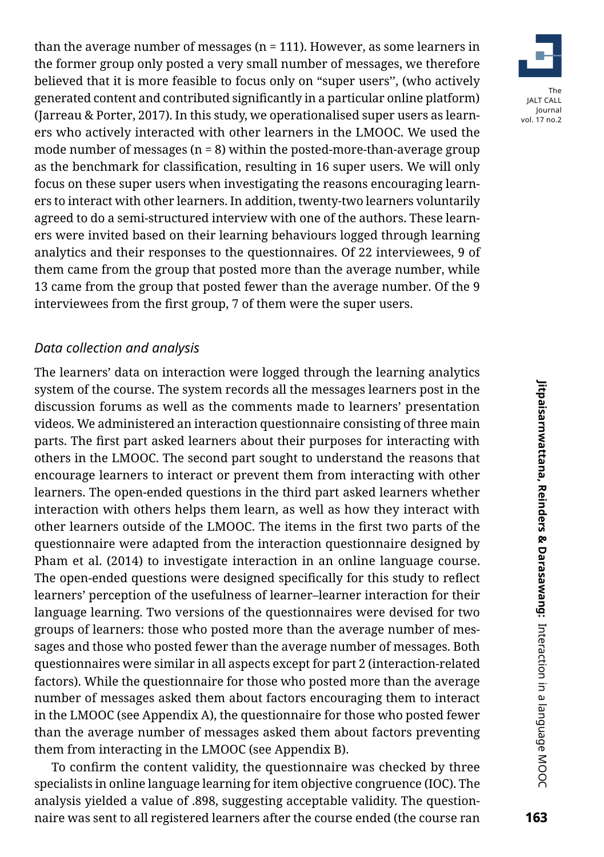than the average number of messages (n = 111). However, as some learners in the former group only posted a very small number of messages, we therefore believed that it is more feasible to focus only on "super users'', (who actively generated content and contributed significantly in a particular online platform) (Jarreau & Porter, 2017). In this study, we operationalised super users as learners who actively interacted with other learners in the LMOOC. We used the mode number of messages  $(n = 8)$  within the posted-more-than-average group as the benchmark for classification, resulting in 16 super users. We will only focus on these super users when investigating the reasons encouraging learners to interact with other learners. In addition, twenty-two learners voluntarily agreed to do a semi-structured interview with one of the authors. These learners were invited based on their learning behaviours logged through learning analytics and their responses to the questionnaires. Of 22 interviewees, 9 of them came from the group that posted more than the average number, while 13 came from the group that posted fewer than the average number. Of the 9 interviewees from the first group, 7 of them were the super users.

### *Data collection and analysis*

The learners' data on interaction were logged through the learning analytics system of the course. The system records all the messages learners post in the discussion forums as well as the comments made to learners' presentation videos. We administered an interaction questionnaire consisting of three main parts. The first part asked learners about their purposes for interacting with others in the LMOOC. The second part sought to understand the reasons that encourage learners to interact or prevent them from interacting with other learners. The open-ended questions in the third part asked learners whether interaction with others helps them learn, as well as how they interact with other learners outside of the LMOOC. The items in the first two parts of the questionnaire were adapted from the interaction questionnaire designed by Pham et al. (2014) to investigate interaction in an online language course. The open-ended questions were designed specifically for this study to reflect learners' perception of the usefulness of learner–learner interaction for their language learning. Two versions of the questionnaires were devised for two groups of learners: those who posted more than the average number of messages and those who posted fewer than the average number of messages. Both questionnaires were similar in all aspects except for part 2 (interaction-related factors). While the questionnaire for those who posted more than the average number of messages asked them about factors encouraging them to interact in the LMOOC (see Appendix A), the questionnaire for those who posted fewer than the average number of messages asked them about factors preventing them from interacting in the LMOOC (see Appendix B).

To confirm the content validity, the questionnaire was checked by three specialists in online language learning for item objective congruence (IOC). The analysis yielded a value of .898, suggesting acceptable validity. The questionnaire was sent to all registered learners after the course ended (the course ran

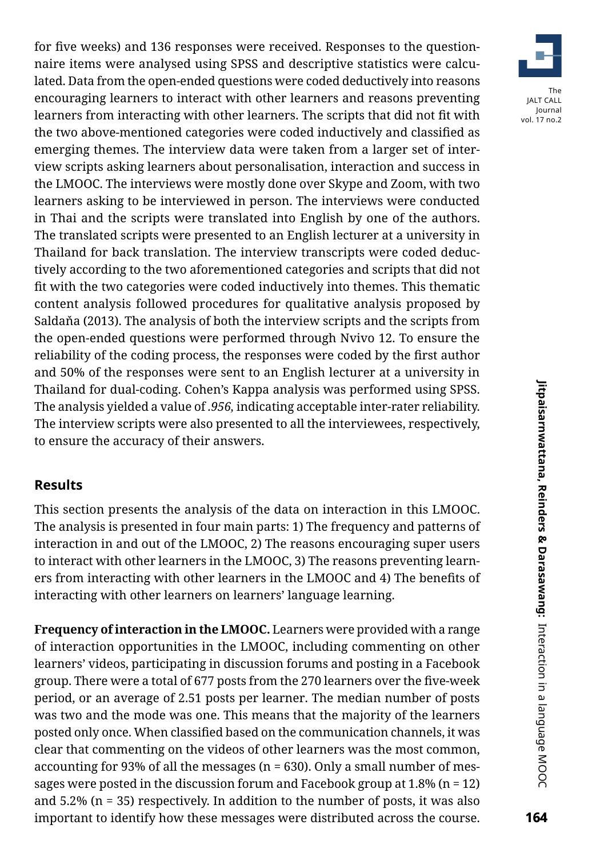for five weeks) and 136 responses were received. Responses to the questionnaire items were analysed using SPSS and descriptive statistics were calculated. Data from the open-ended questions were coded deductively into reasons encouraging learners to interact with other learners and reasons preventing learners from interacting with other learners. The scripts that did not fit with the two above-mentioned categories were coded inductively and classified as emerging themes. The interview data were taken from a larger set of interview scripts asking learners about personalisation, interaction and success in the LMOOC. The interviews were mostly done over Skype and Zoom, with two learners asking to be interviewed in person. The interviews were conducted in Thai and the scripts were translated into English by one of the authors. The translated scripts were presented to an English lecturer at a university in Thailand for back translation. The interview transcripts were coded deductively according to the two aforementioned categories and scripts that did not fit with the two categories were coded inductively into themes. This thematic content analysis followed procedures for qualitative analysis proposed by Saldaňa (2013). The analysis of both the interview scripts and the scripts from the open-ended questions were performed through Nvivo 12. To ensure the reliability of the coding process, the responses were coded by the first author and 50% of the responses were sent to an English lecturer at a university in Thailand for dual-coding. Cohen's Kappa analysis was performed using SPSS. The analysis yielded a value of *.956,* indicating acceptable inter-rater reliability. The interview scripts were also presented to all the interviewees, respectively, to ensure the accuracy of their answers.

### **Results**

This section presents the analysis of the data on interaction in this LMOOC. The analysis is presented in four main parts: 1) The frequency and patterns of interaction in and out of the LMOOC, 2) The reasons encouraging super users to interact with other learners in the LMOOC, 3) The reasons preventing learners from interacting with other learners in the LMOOC and 4) The benefits of interacting with other learners on learners' language learning.

**Frequency of interaction in the LMOOC.** Learners were provided with a range of interaction opportunities in the LMOOC, including commenting on other learners' videos, participating in discussion forums and posting in a Facebook group. There were a total of 677 posts from the 270 learners over the five-week period, or an average of 2.51 posts per learner. The median number of posts was two and the mode was one. This means that the majority of the learners posted only once. When classified based on the communication channels, it was clear that commenting on the videos of other learners was the most common, accounting for 93% of all the messages ( $n = 630$ ). Only a small number of messages were posted in the discussion forum and Facebook group at  $1.8\%$  (n = 12) and 5.2% (n = 35) respectively. In addition to the number of posts, it was also important to identify how these messages were distributed across the course.

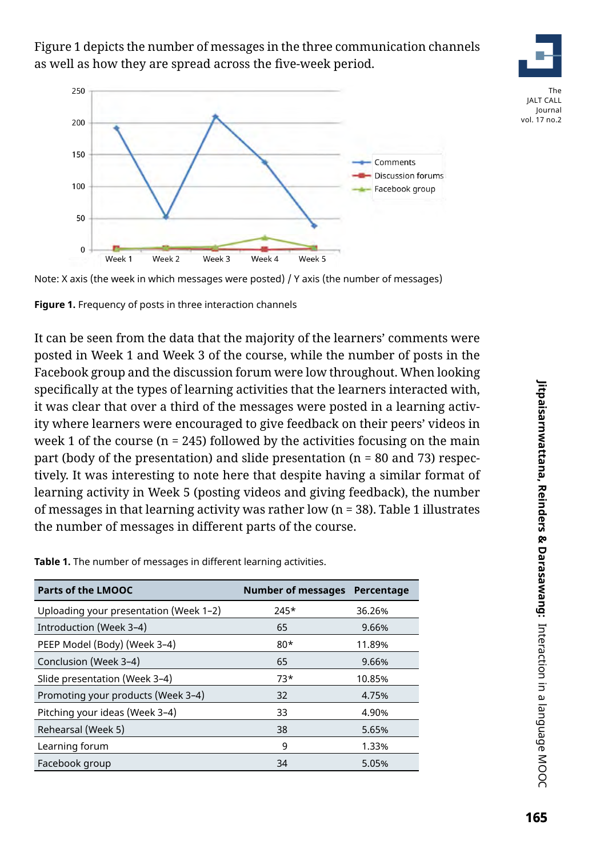Figure 1 depicts the number of messages in the three communication channels as well as how they are spread across the five-week period.





The JALT CALL Journal vol. 17 no.2



**Figure 1.** Frequency of posts in three interaction channels

It can be seen from the data that the majority of the learners' comments were posted in Week 1 and Week 3 of the course, while the number of posts in the Facebook group and the discussion forum were low throughout. When looking specifically at the types of learning activities that the learners interacted with, it was clear that over a third of the messages were posted in a learning activity where learners were encouraged to give feedback on their peers' videos in week 1 of the course ( $n = 245$ ) followed by the activities focusing on the main part (body of the presentation) and slide presentation ( $n = 80$  and 73) respectively. It was interesting to note here that despite having a similar format of learning activity in Week 5 (posting videos and giving feedback), the number of messages in that learning activity was rather low (n = 38). Table 1 illustrates the number of messages in different parts of the course.

**Table 1.** The number of messages in different learning activities.

| <b>Parts of the LMOOC</b>              | <b>Number of messages</b> | Percentage |
|----------------------------------------|---------------------------|------------|
| Uploading your presentation (Week 1-2) | $745*$                    | 36.26%     |
| Introduction (Week 3-4)                | 65                        | 9.66%      |
| PEEP Model (Body) (Week 3-4)           | $80*$                     | 11.89%     |
| Conclusion (Week 3-4)                  | 65                        | 9.66%      |
| Slide presentation (Week 3-4)          | $73*$                     | 10.85%     |
| Promoting your products (Week 3-4)     | 32                        | 4.75%      |
| Pitching your ideas (Week 3-4)         | 33                        | 4.90%      |
| Rehearsal (Week 5)                     | 38                        | 5.65%      |
| Learning forum                         | 9                         | 1.33%      |
| Facebook group                         | 34                        | 5.05%      |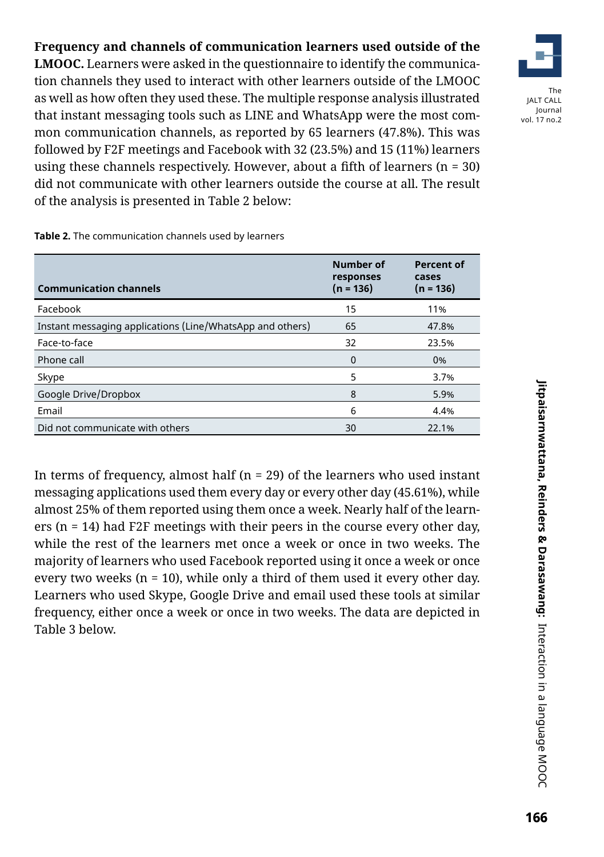**Frequency and channels of communication learners used outside of the LMOOC.** Learners were asked in the questionnaire to identify the communication channels they used to interact with other learners outside of the LMOOC as well as how often they used these. The multiple response analysis illustrated that instant messaging tools such as LINE and WhatsApp were the most common communication channels, as reported by 65 learners (47.8%). This was followed by F2F meetings and Facebook with 32 (23.5%) and 15 (11%) learners using these channels respectively. However, about a fifth of learners  $(n = 30)$ did not communicate with other learners outside the course at all. The result of the analysis is presented in Table 2 below:

**Table 2.** The communication channels used by learners

| <b>Communication channels</b>                             | Number of<br>responses<br>$(n = 136)$ | <b>Percent of</b><br>cases<br>$(n = 136)$ |
|-----------------------------------------------------------|---------------------------------------|-------------------------------------------|
| Facebook                                                  | 15                                    | 11%                                       |
| Instant messaging applications (Line/WhatsApp and others) | 65                                    | 47.8%                                     |
| Face-to-face                                              | 32                                    | 23.5%                                     |
| Phone call                                                | $\Omega$                              | 0%                                        |
| Skype                                                     | 5                                     | 3.7%                                      |
| Google Drive/Dropbox                                      | 8                                     | 5.9%                                      |
| Email                                                     | 6                                     | 4.4%                                      |
| Did not communicate with others                           | 30                                    | 22.1%                                     |

In terms of frequency, almost half ( $n = 29$ ) of the learners who used instant messaging applications used them every day or every other day (45.61%), while almost 25% of them reported using them once a week. Nearly half of the learners (n = 14) had F2F meetings with their peers in the course every other day, while the rest of the learners met once a week or once in two weeks. The majority of learners who used Facebook reported using it once a week or once every two weeks ( $n = 10$ ), while only a third of them used it every other day. Learners who used Skype, Google Drive and email used these tools at similar frequency, either once a week or once in two weeks. The data are depicted in Table 3 below.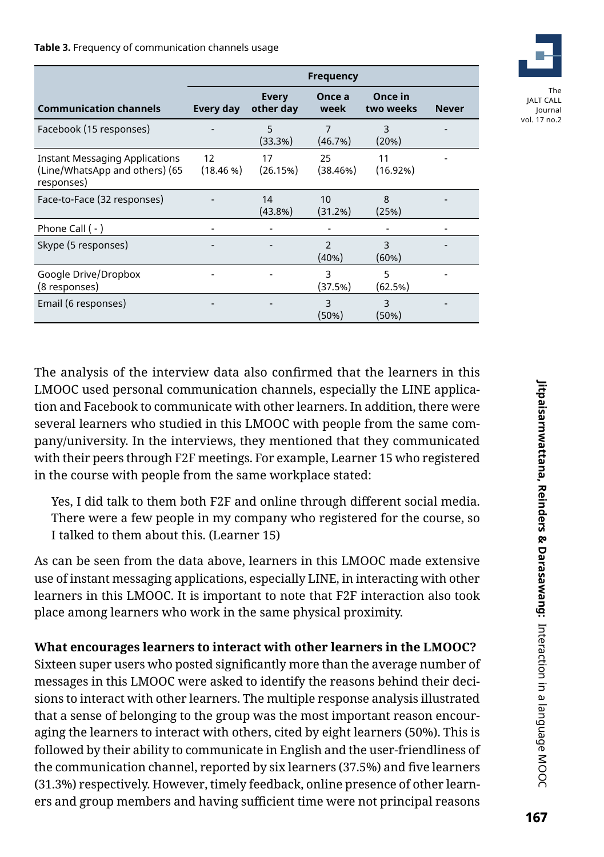#### **Table 3.** Frequency of communication channels usage

|                                                                                       | <b>Frequency</b> |                           |                           |                      |              |
|---------------------------------------------------------------------------------------|------------------|---------------------------|---------------------------|----------------------|--------------|
| <b>Communication channels</b>                                                         | Every day        | <b>Every</b><br>other day | Once a<br>week            | Once in<br>two weeks | <b>Never</b> |
| Facebook (15 responses)                                                               |                  | 5<br>(33.3%)              | $\overline{7}$<br>(46.7%) | 3<br>(20%)           |              |
| <b>Instant Messaging Applications</b><br>(Line/WhatsApp and others) (65<br>responses) | 12<br>(18.46%)   | 17<br>(26.15%)            | 25<br>(38.46%)            | 11<br>(16.92%)       |              |
| Face-to-Face (32 responses)                                                           |                  | 14<br>(43.8%)             | 10<br>(31.2%)             | 8<br>(25%)           |              |
| Phone Call $(-)$                                                                      |                  |                           |                           |                      |              |
| Skype (5 responses)                                                                   |                  |                           | $\mathfrak{D}$<br>(40%)   | 3<br>(60%)           |              |
| Google Drive/Dropbox<br>(8 responses)                                                 |                  |                           | 3<br>(37.5%)              | 5<br>(62.5%)         |              |
| Email (6 responses)                                                                   |                  |                           | 3<br>(50%)                | 3<br>(50%)           |              |

The analysis of the interview data also confirmed that the learners in this LMOOC used personal communication channels, especially the LINE application and Facebook to communicate with other learners. In addition, there were several learners who studied in this LMOOC with people from the same company/university. In the interviews, they mentioned that they communicated with their peers through F2F meetings. For example, Learner 15 who registered in the course with people from the same workplace stated:

Yes, I did talk to them both F2F and online through different social media. There were a few people in my company who registered for the course, so I talked to them about this. (Learner 15)

As can be seen from the data above, learners in this LMOOC made extensive use of instant messaging applications, especially LINE, in interacting with other learners in this LMOOC. It is important to note that F2F interaction also took place among learners who work in the same physical proximity.

### **What encourages learners to interact with other learners in the LMOOC?**

Sixteen super users who posted significantly more than the average number of messages in this LMOOC were asked to identify the reasons behind their decisions to interact with other learners. The multiple response analysis illustrated that a sense of belonging to the group was the most important reason encouraging the learners to interact with others, cited by eight learners (50%). This is followed by their ability to communicate in English and the user-friendliness of the communication channel, reported by six learners (37.5%) and five learners (31.3%) respectively. However, timely feedback, online presence of other learners and group members and having sufficient time were not principal reasons





The JALT CALL Journal vol. 17 no.2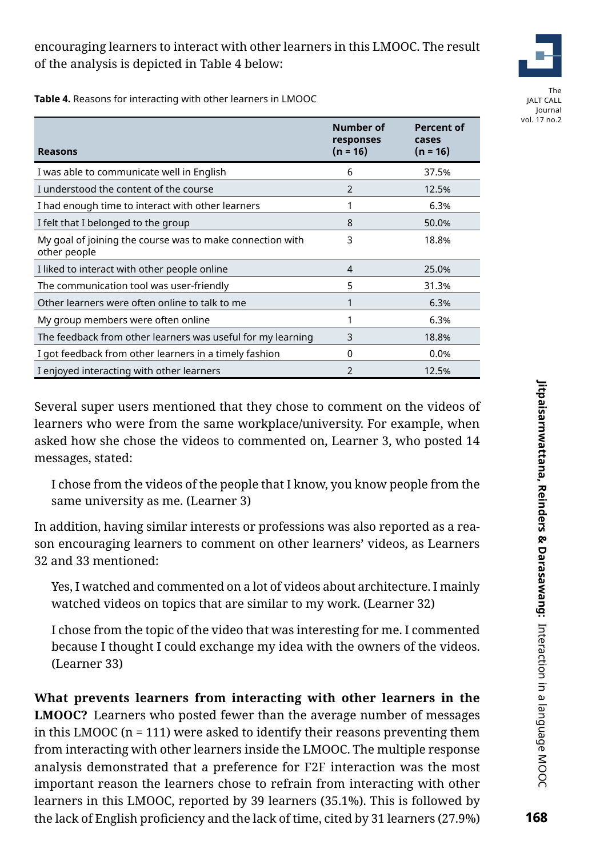## encouraging learners to interact with other learners in this LMOOC. The result of the analysis is depicted in Table 4 below:



The JALT CALL Journal vol. 17 no.2

**Table 4.** Reasons for interacting with other learners in LMOOC

| <b>Reasons</b>                                                            | Number of<br>responses<br>$(n = 16)$ | <b>Percent of</b><br>cases<br>$(n = 16)$ |
|---------------------------------------------------------------------------|--------------------------------------|------------------------------------------|
| I was able to communicate well in English                                 | 6                                    | 37.5%                                    |
| I understood the content of the course                                    | $\mathfrak{p}$                       | 12.5%                                    |
| I had enough time to interact with other learners                         |                                      | 6.3%                                     |
| I felt that I belonged to the group                                       | 8                                    | 50.0%                                    |
| My goal of joining the course was to make connection with<br>other people | 3                                    | 18.8%                                    |
| I liked to interact with other people online                              | 4                                    | 25.0%                                    |
| The communication tool was user-friendly                                  | 5                                    | 31.3%                                    |
| Other learners were often online to talk to me                            |                                      | 6.3%                                     |
| My group members were often online                                        |                                      | 6.3%                                     |
| The feedback from other learners was useful for my learning               | 3                                    | 18.8%                                    |
| I got feedback from other learners in a timely fashion                    | 0                                    | 0.0%                                     |
| I enjoyed interacting with other learners                                 | $\mathfrak{p}$                       | 12.5%                                    |

Several super users mentioned that they chose to comment on the videos of learners who were from the same workplace/university. For example, when asked how she chose the videos to commented on, Learner 3, who posted 14 messages, stated:

I chose from the videos of the people that I know, you know people from the same university as me. (Learner 3)

In addition, having similar interests or professions was also reported as a reason encouraging learners to comment on other learners' videos, as Learners 32 and 33 mentioned:

Yes, I watched and commented on a lot of videos about architecture. I mainly watched videos on topics that are similar to my work. (Learner 32)

I chose from the topic of the video that was interesting for me. I commented because I thought I could exchange my idea with the owners of the videos. (Learner 33)

**What prevents learners from interacting with other learners in the LMOOC?** Learners who posted fewer than the average number of messages in this LMOOC (n = 111) were asked to identify their reasons preventing them from interacting with other learners inside the LMOOC. The multiple response analysis demonstrated that a preference for F2F interaction was the most important reason the learners chose to refrain from interacting with other learners in this LMOOC, reported by 39 learners (35.1%). This is followed by the lack of English proficiency and the lack of time, cited by 31 learners (27.9%)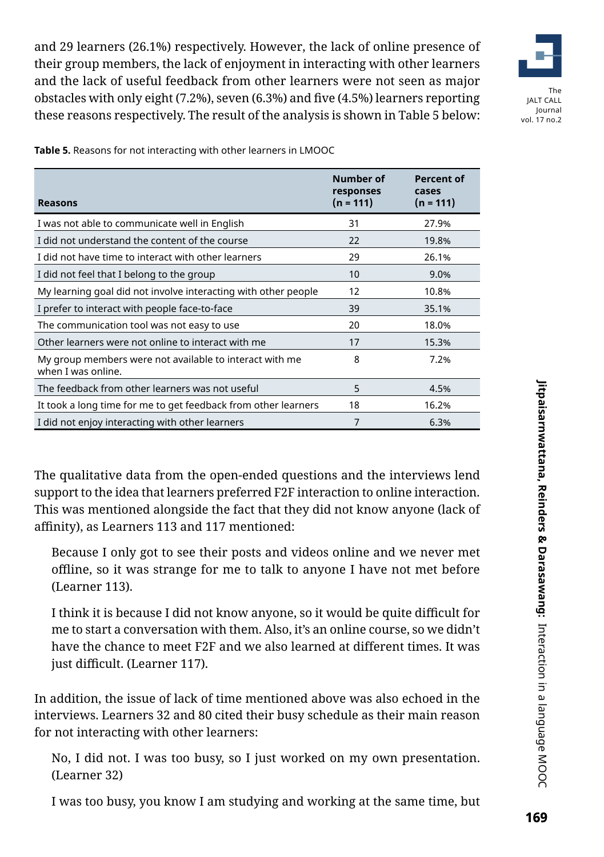and 29 learners (26.1%) respectively. However, the lack of online presence of their group members, the lack of enjoyment in interacting with other learners and the lack of useful feedback from other learners were not seen as major obstacles with only eight (7.2%), seven (6.3%) and five (4.5%) learners reporting these reasons respectively. The result of the analysis is shown in Table 5 below:



vol. 17 no.2

**Reasons Number of responses (n = 111) Percent of cases (n = 111)** I was not able to communicate well in English 31 27.9% I did not understand the content of the course 22 19.8% I did not have time to interact with other learners 29 26.1% I did not feel that I belong to the group 10 9.0% My learning goal did not involve interacting with other people  $12$  10.8% I prefer to interact with people face-to-face 39 35.1% The communication tool was not easy to use 20 18.0% Other learners were not online to interact with me 17 17 15.3% My group members were not available to interact with me when I was online. 8 7.2% The feedback from other learners was not useful 5 5 4.5% It took a long time for me to get feedback from other learners 18 18 16.2% I did not enjoy interacting with other learners 7 6.3%

**Table 5.** Reasons for not interacting with other learners in LMOOC

The qualitative data from the open-ended questions and the interviews lend support to the idea that learners preferred F2F interaction to online interaction. This was mentioned alongside the fact that they did not know anyone (lack of affinity), as Learners 113 and 117 mentioned:

Because I only got to see their posts and videos online and we never met offline, so it was strange for me to talk to anyone I have not met before (Learner 113).

I think it is because I did not know anyone, so it would be quite difficult for me to start a conversation with them. Also, it's an online course, so we didn't have the chance to meet F2F and we also learned at different times. It was just difficult. (Learner 117).

In addition, the issue of lack of time mentioned above was also echoed in the interviews. Learners 32 and 80 cited their busy schedule as their main reason for not interacting with other learners:

No, I did not. I was too busy, so I just worked on my own presentation. (Learner 32)

I was too busy, you know I am studying and working at the same time, but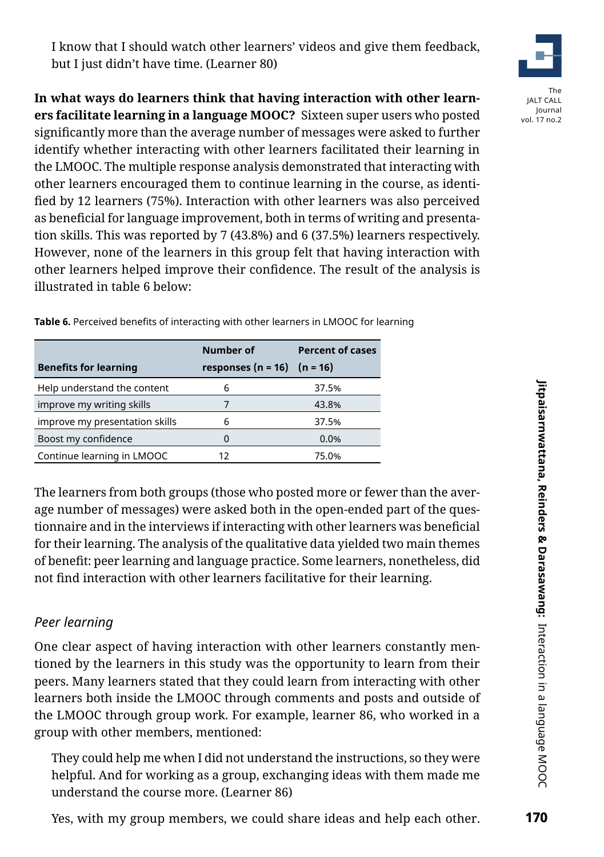

**In what ways do learners think that having interaction with other learners facilitate learning in a language MOOC?** Sixteen super users who posted significantly more than the average number of messages were asked to further identify whether interacting with other learners facilitated their learning in the LMOOC. The multiple response analysis demonstrated that interacting with other learners encouraged them to continue learning in the course, as identified by 12 learners (75%). Interaction with other learners was also perceived as beneficial for language improvement, both in terms of writing and presentation skills. This was reported by 7 (43.8%) and 6 (37.5%) learners respectively. However, none of the learners in this group felt that having interaction with other learners helped improve their confidence. The result of the analysis is illustrated in table 6 below:

|                                | Number of                     | <b>Percent of cases</b> |
|--------------------------------|-------------------------------|-------------------------|
| <b>Benefits for learning</b>   | responses (n = 16) $(n = 16)$ |                         |
| Help understand the content    |                               | 37.5%                   |
| improve my writing skills      |                               | 43.8%                   |
| improve my presentation skills |                               | 37.5%                   |
| Boost my confidence            |                               | 0.0%                    |
| Continue learning in LMOOC     | 12                            | 75.0%                   |

**Table 6.** Perceived benefits of interacting with other learners in LMOOC for learning

The learners from both groups (those who posted more or fewer than the average number of messages) were asked both in the open-ended part of the questionnaire and in the interviews if interacting with other learners was beneficial for their learning. The analysis of the qualitative data yielded two main themes of benefit: peer learning and language practice. Some learners, nonetheless, did not find interaction with other learners facilitative for their learning.

# *Peer learning*

One clear aspect of having interaction with other learners constantly mentioned by the learners in this study was the opportunity to learn from their peers. Many learners stated that they could learn from interacting with other learners both inside the LMOOC through comments and posts and outside of the LMOOC through group work. For example, learner 86, who worked in a group with other members, mentioned:

They could help me when I did not understand the instructions, so they were helpful. And for working as a group, exchanging ideas with them made me understand the course more. (Learner 86)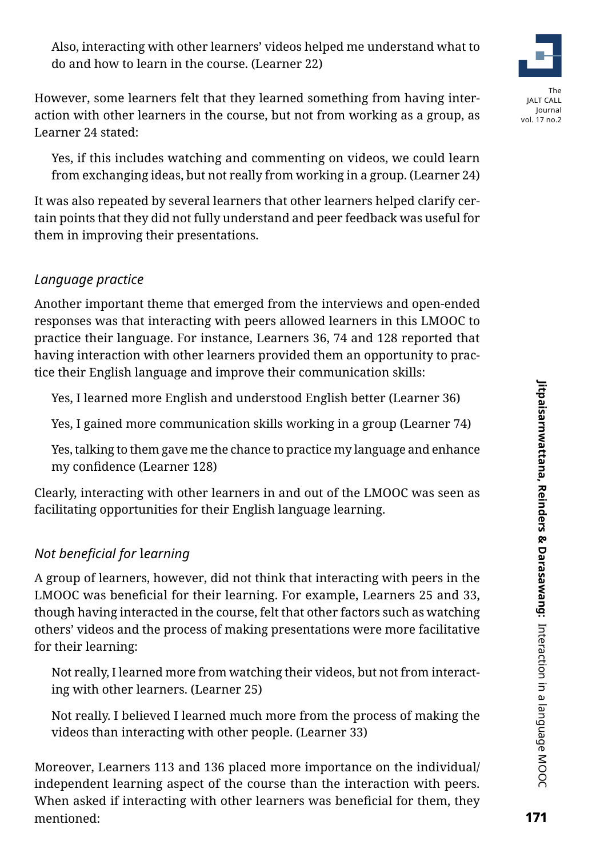However, some learners felt that they learned something from having interaction with other learners in the course, but not from working as a group, as Learner 24 stated:

Yes, if this includes watching and commenting on videos, we could learn from exchanging ideas, but not really from working in a group. (Learner 24)

It was also repeated by several learners that other learners helped clarify certain points that they did not fully understand and peer feedback was useful for them in improving their presentations.

# *Language practice*

Another important theme that emerged from the interviews and open-ended responses was that interacting with peers allowed learners in this LMOOC to practice their language. For instance, Learners 36, 74 and 128 reported that having interaction with other learners provided them an opportunity to practice their English language and improve their communication skills:

Yes, I learned more English and understood English better (Learner 36)

Yes, I gained more communication skills working in a group (Learner 74)

Yes, talking to them gave me the chance to practice my language and enhance my confidence (Learner 128)

Clearly, interacting with other learners in and out of the LMOOC was seen as facilitating opportunities for their English language learning.

# *Not beneficial for* l*earning*

A group of learners, however, did not think that interacting with peers in the LMOOC was beneficial for their learning. For example, Learners 25 and 33, though having interacted in the course, felt that other factors such as watching others' videos and the process of making presentations were more facilitative for their learning:

Not really, I learned more from watching their videos, but not from interacting with other learners. (Learner 25)

Not really. I believed I learned much more from the process of making the videos than interacting with other people. (Learner 33)

Moreover, Learners 113 and 136 placed more importance on the individual/ independent learning aspect of the course than the interaction with peers. When asked if interacting with other learners was beneficial for them, they mentioned: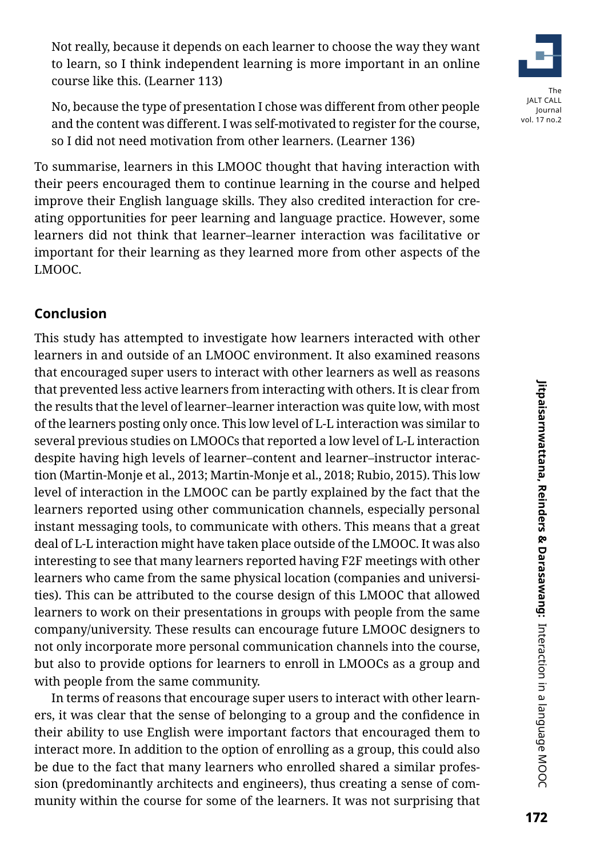Not really, because it depends on each learner to choose the way they want to learn, so I think independent learning is more important in an online course like this. (Learner 113)

No, because the type of presentation I chose was different from other people and the content was different. I was self-motivated to register for the course, so I did not need motivation from other learners. (Learner 136)

To summarise, learners in this LMOOC thought that having interaction with their peers encouraged them to continue learning in the course and helped improve their English language skills. They also credited interaction for creating opportunities for peer learning and language practice. However, some learners did not think that learner–learner interaction was facilitative or important for their learning as they learned more from other aspects of the LMOOC.

### **Conclusion**

This study has attempted to investigate how learners interacted with other learners in and outside of an LMOOC environment. It also examined reasons that encouraged super users to interact with other learners as well as reasons that prevented less active learners from interacting with others. It is clear from the results that the level of learner–learner interaction was quite low, with most of the learners posting only once. This low level of L-L interaction was similar to several previous studies on LMOOCs that reported a low level of L-L interaction despite having high levels of learner–content and learner–instructor interaction (Martin-Monje et al., 2013; Martin-Monje et al., 2018; Rubio, 2015). This low level of interaction in the LMOOC can be partly explained by the fact that the learners reported using other communication channels, especially personal instant messaging tools, to communicate with others. This means that a great deal of L-L interaction might have taken place outside of the LMOOC. It was also interesting to see that many learners reported having F2F meetings with other learners who came from the same physical location (companies and universities). This can be attributed to the course design of this LMOOC that allowed learners to work on their presentations in groups with people from the same company/university. These results can encourage future LMOOC designers to not only incorporate more personal communication channels into the course, but also to provide options for learners to enroll in LMOOCs as a group and with people from the same community.

In terms of reasons that encourage super users to interact with other learners, it was clear that the sense of belonging to a group and the confidence in their ability to use English were important factors that encouraged them to interact more. In addition to the option of enrolling as a group, this could also be due to the fact that many learners who enrolled shared a similar profession (predominantly architects and engineers), thus creating a sense of community within the course for some of the learners. It was not surprising that



vol. 17 no.2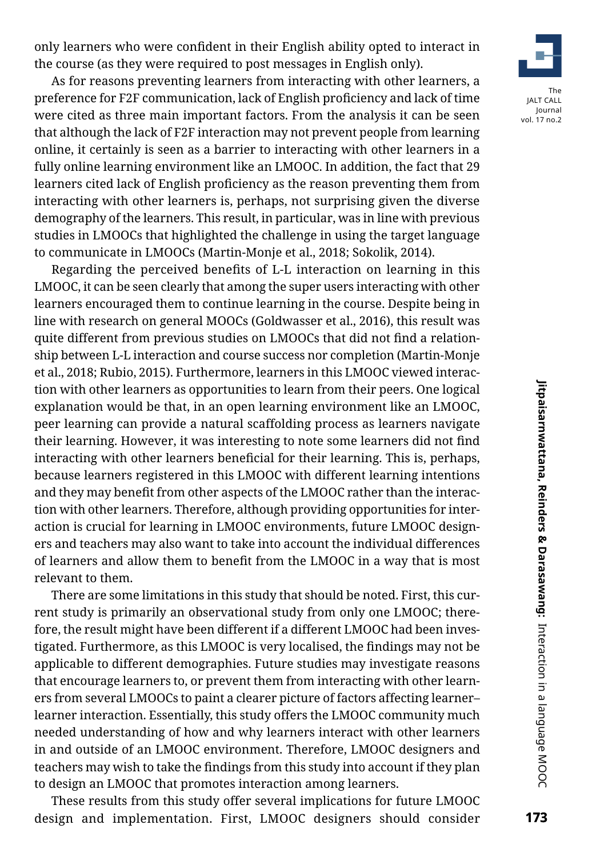only learners who were confident in their English ability opted to interact in the course (as they were required to post messages in English only).

As for reasons preventing learners from interacting with other learners, a preference for F2F communication, lack of English proficiency and lack of time were cited as three main important factors. From the analysis it can be seen that although the lack of F2F interaction may not prevent people from learning online, it certainly is seen as a barrier to interacting with other learners in a fully online learning environment like an LMOOC. In addition, the fact that 29 learners cited lack of English proficiency as the reason preventing them from interacting with other learners is, perhaps, not surprising given the diverse demography of the learners. This result, in particular, was in line with previous studies in LMOOCs that highlighted the challenge in using the target language to communicate in LMOOCs (Martin-Monje et al., 2018; Sokolik, 2014).

Regarding the perceived benefits of L-L interaction on learning in this LMOOC, it can be seen clearly that among the super users interacting with other learners encouraged them to continue learning in the course. Despite being in line with research on general MOOCs (Goldwasser et al., 2016), this result was quite different from previous studies on LMOOCs that did not find a relationship between L-L interaction and course success nor completion (Martin-Monje et al., 2018; Rubio, 2015). Furthermore, learners in this LMOOC viewed interaction with other learners as opportunities to learn from their peers. One logical explanation would be that, in an open learning environment like an LMOOC, peer learning can provide a natural scaffolding process as learners navigate their learning. However, it was interesting to note some learners did not find interacting with other learners beneficial for their learning. This is, perhaps, because learners registered in this LMOOC with different learning intentions and they may benefit from other aspects of the LMOOC rather than the interaction with other learners. Therefore, although providing opportunities for interaction is crucial for learning in LMOOC environments, future LMOOC designers and teachers may also want to take into account the individual differences of learners and allow them to benefit from the LMOOC in a way that is most relevant to them.

There are some limitations in this study that should be noted. First, this current study is primarily an observational study from only one LMOOC; therefore, the result might have been different if a different LMOOC had been investigated. Furthermore, as this LMOOC is very localised, the findings may not be applicable to different demographies. Future studies may investigate reasons that encourage learners to, or prevent them from interacting with other learners from several LMOOCs to paint a clearer picture of factors affecting learner– learner interaction. Essentially, this study offers the LMOOC community much needed understanding of how and why learners interact with other learners in and outside of an LMOOC environment. Therefore, LMOOC designers and teachers may wish to take the findings from this study into account if they plan to design an LMOOC that promotes interaction among learners.

These results from this study offer several implications for future LMOOC design and implementation. First, LMOOC designers should consider

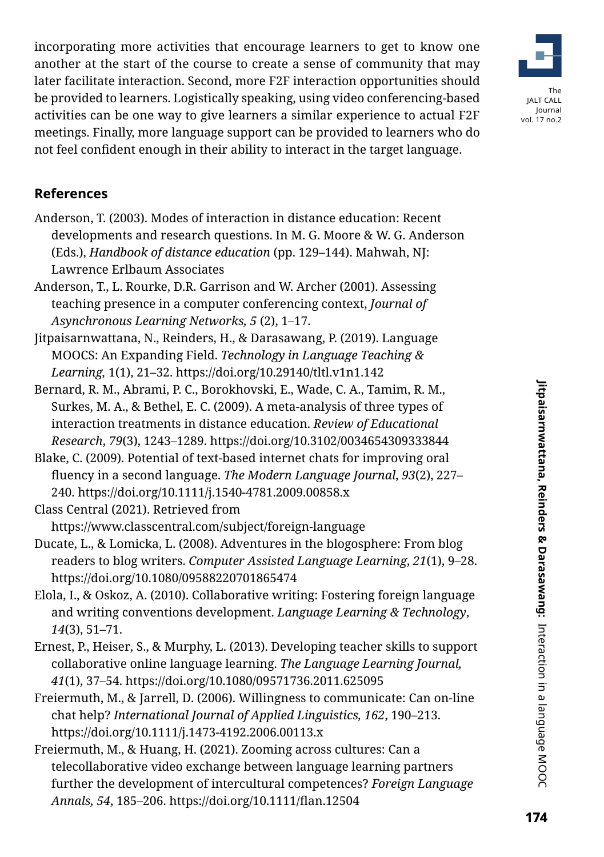incorporating more activities that encourage learners to get to know one another at the start of the course to create a sense of community that may later facilitate interaction. Second, more F2F interaction opportunities should be provided to learners. Logistically speaking, using video conferencing-based activities can be one way to give learners a similar experience to actual F2F meetings. Finally, more language support can be provided to learners who do not feel confident enough in their ability to interact in the target language.

# **References**

- Anderson, T. (2003). Modes of interaction in distance education: Recent developments and research questions. In M. G. Moore & W. G. Anderson (Eds.), *Handbook of distance education* (pp. 129–144). Mahwah, NJ: Lawrence Erlbaum Associates
- Anderson, T., L. Rourke, D.R. Garrison and W. Archer (2001). Assessing teaching presence in a computer conferencing context, *Journal of Asynchronous Learning Networks, 5* (2), 1–17.
- Jitpaisarnwattana, N., Reinders, H., & Darasawang, P. (2019). Language MOOCS: An Expanding Field. *Technology in Language Teaching & Learning,* 1(1), 21–32. https://doi.org/10.29140/tltl.v1n1.142
- Bernard, R. M., Abrami, P. C., Borokhovski, E., Wade, C. A., Tamim, R. M., Surkes, M. A., & Bethel, E. C. (2009). A meta-analysis of three types of interaction treatments in distance education. *Review of Educational Research*, *79*(3), 1243–1289. https://doi.org/10.3102/0034654309333844
- Blake, C. (2009). Potential of text-based internet chats for improving oral fluency in a second language. *The Modern Language Journal*, *93*(2), 227– 240. https://doi.org/10.1111/j.1540-4781.2009.00858.x
- Class Central (2021). Retrieved from

https://www.classcentral.com/subject/foreign-language

- Ducate, L., & Lomicka, L. (2008). Adventures in the blogosphere: From blog readers to blog writers. *Computer Assisted Language Learning*, *21*(1), 9–28. https://doi.org/10.1080/09588220701865474
- Elola, I., & Oskoz, A. (2010). Collaborative writing: Fostering foreign language and writing conventions development. *Language Learning & Technology*, *14*(3), 51–71.
- Ernest, P., Heiser, S., & Murphy, L. (2013). Developing teacher skills to support collaborative online language learning. *The Language Learning Journal, 41*(1), 37–54. https://doi.org/10.1080/09571736.2011.625095
- Freiermuth, M., & Jarrell, D. (2006). Willingness to communicate: Can on-line chat help? *International Journal of Applied Linguistics, 162*, 190–213. https://doi.org/10.1111/j.1473-4192.2006.00113.x
- Freiermuth, M., & Huang, H. (2021). Zooming across cultures: Can a telecollaborative video exchange between language learning partners further the development of intercultural competences? *Foreign Language Annals, 54*, 185–206. https://doi.org/10.1111/flan.12504

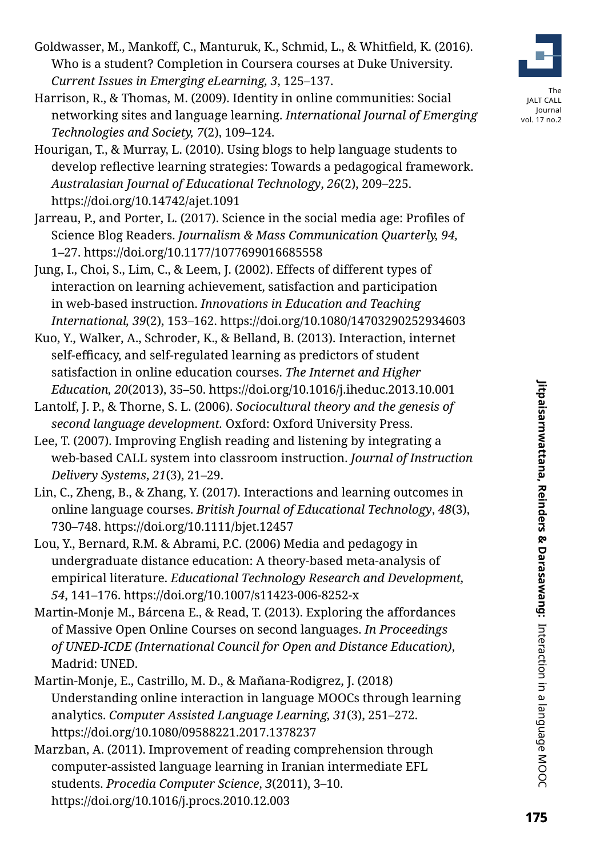- Goldwasser, M., Mankoff, C., Manturuk, K., Schmid, L., & Whitfield, K. (2016). Who is a student? Completion in Coursera courses at Duke University*. Current Issues in Emerging eLearning, 3*, 125–137.
- Harrison, R., & Thomas, M. (2009). Identity in online communities: Social networking sites and language learning. *International Journal of Emerging Technologies and Society, 7*(2), 109–124.
- Hourigan, T., & Murray, L. (2010). Using blogs to help language students to develop reflective learning strategies: Towards a pedagogical framework. *Australasian Journal of Educational Technology*, *26*(2), 209–225. https://doi.org/10.14742/ajet.1091
- Jarreau, P., and Porter, L. (2017). Science in the social media age: Profiles of Science Blog Readers. *Journalism & Mass Communication Quarterly, 94,*  1–27. https://doi.org/10.1177/1077699016685558
- Jung, I., Choi, S., Lim, C., & Leem, J. (2002). Effects of different types of interaction on learning achievement, satisfaction and participation in web-based instruction. *Innovations in Education and Teaching International, 39*(2), 153–162. https://doi.org/10.1080/14703290252934603
- Kuo, Y., Walker, A., Schroder, K., & Belland, B. (2013). Interaction, internet self-efficacy, and self-regulated learning as predictors of student satisfaction in online education courses. *The Internet and Higher Education, 20*(2013), 35–50. https://doi.org/10.1016/j.iheduc.2013.10.001
- Lantolf, J. P., & Thorne, S. L. (2006). *Sociocultural theory and the genesis of second language development.* Oxford: Oxford University Press.
- Lee, T. (2007). Improving English reading and listening by integrating a web-based CALL system into classroom instruction. *Journal of Instruction Delivery Systems*, *21*(3), 21–29.
- Lin, C., Zheng, B., & Zhang, Y. (2017). Interactions and learning outcomes in online language courses. *British Journal of Educational Technology*, *48*(3), 730–748. https://doi.org/10.1111/bjet.12457
- Lou, Y., Bernard, R.M. & Abrami, P.C. (2006) Media and pedagogy in undergraduate distance education: A theory-based meta-analysis of empirical literature. *Educational Technology Research and Development, 54*, 141–176. https://doi.org/10.1007/s11423-006-8252-x
- Martin-Monje M., Bárcena E., & Read, T. (2013). Exploring the affordances of Massive Open Online Courses on second languages. *In Proceedings of UNED-ICDE (International Council for Open and Distance Education)*, Madrid: UNED.
- Martin-Monje, E., Castrillo, M. D., & Mañana-Rodigrez, J. (2018) Understanding online interaction in language MOOCs through learning analytics. *Computer Assisted Language Learning, 31*(3), 251–272. https://doi.org/10.1080/09588221.2017.1378237
- Marzban, A. (2011). Improvement of reading comprehension through computer-assisted language learning in Iranian intermediate EFL students. *Procedia Computer Science*, *3*(2011), 3–10. https://doi.org/10.1016/j.procs.2010.12.003



The JALT CALL Journal vol. 17 no.2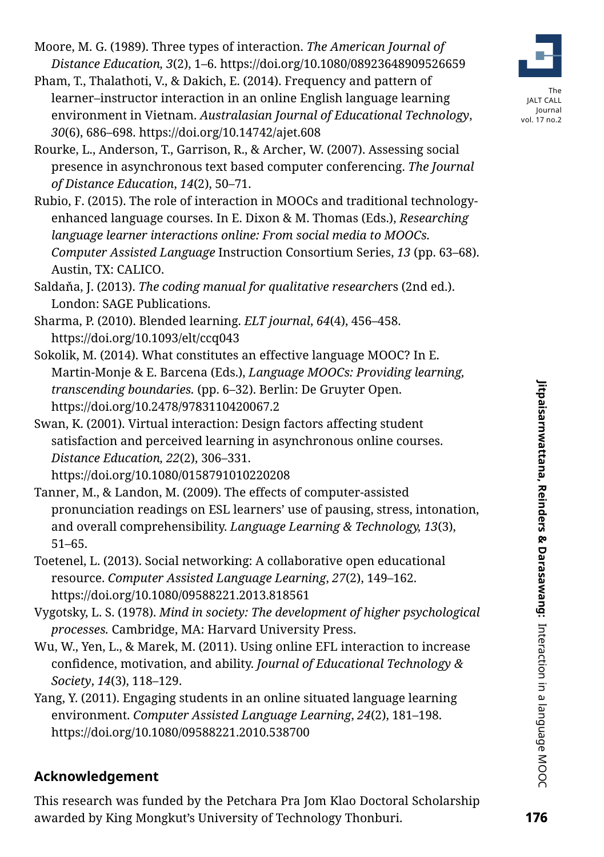Moore, M. G. (1989). Three types of interaction. *The American Journal of Distance Education, 3*(2), 1–6. https://doi.org/10.1080/08923648909526659

Pham, T., Thalathoti, V., & Dakich, E. (2014). Frequency and pattern of learner–instructor interaction in an online English language learning environment in Vietnam. *Australasian Journal of Educational Technology*, *30*(6), 686–698. https://doi.org/10.14742/ajet.608



Rubio, F. (2015). The role of interaction in MOOCs and traditional technologyenhanced language courses. In E. Dixon & M. Thomas (Eds.), *Researching language learner interactions online: From social media to MOOCs. Computer Assisted Language* Instruction Consortium Series, *13* (pp. 63–68). Austin, TX: CALICO.

- Saldaňa, J. (2013). *The coding manual for qualitative researche*rs (2nd ed.). London: SAGE Publications.
- Sharma, P. (2010). Blended learning. *ELT journal*, *64*(4), 456–458. https://doi.org/10.1093/elt/ccq043
- Sokolik, M. (2014). What constitutes an effective language MOOC? In E. Martin-Monje & E. Barcena (Eds.), *Language MOOCs: Providing learning, transcending boundaries.* (pp. 6–32). Berlin: De Gruyter Open. https://doi.org/10.2478/9783110420067.2

Swan, K. (2001). Virtual interaction: Design factors affecting student satisfaction and perceived learning in asynchronous online courses. *Distance Education, 22*(2), 306–331. https://doi.org/10.1080/0158791010220208

Tanner, M., & Landon, M. (2009). The effects of computer-assisted pronunciation readings on ESL learners' use of pausing, stress, intonation, and overall comprehensibility. *Language Learning & Technology, 13*(3), 51–65.

Toetenel, L. (2013). Social networking: A collaborative open educational resource. *Computer Assisted Language Learning*, *27*(2), 149–162. https://doi.org/10.1080/09588221.2013.818561

Vygotsky, L. S. (1978). *Mind in society: The development of higher psychological processes.* Cambridge, MA: Harvard University Press.

- Wu, W., Yen, L., & Marek, M. (2011). Using online EFL interaction to increase confidence, motivation, and ability. *Journal of Educational Technology & Society*, *14*(3), 118–129.
- Yang, Y. (2011). Engaging students in an online situated language learning environment. *Computer Assisted Language Learning*, *24*(2), 181–198. https://doi.org/10.1080/09588221.2010.538700

# **Acknowledgement**

This research was funded by the Petchara Pra Jom Klao Doctoral Scholarship awarded by King Mongkut's University of Technology Thonburi.



The **ALT CALL** Journal vol. 17 no.2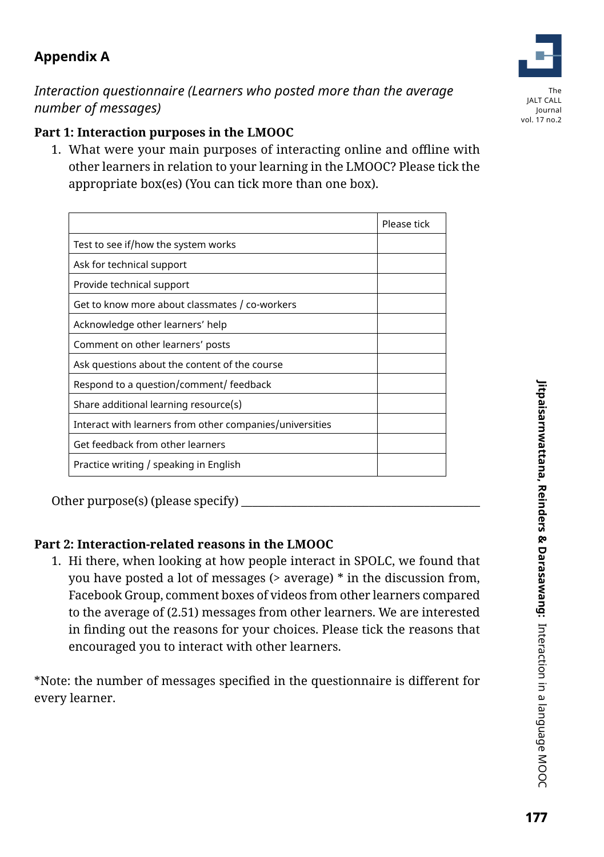# **Appendix A**

*Interaction questionnaire (Learners who posted more than the average number of messages)* 

### **Part 1: Interaction purposes in the LMOOC**

1. What were your main purposes of interacting online and offline with other learners in relation to your learning in the LMOOC? Please tick the appropriate box(es) (You can tick more than one box).

|                                                          | Please tick |
|----------------------------------------------------------|-------------|
| Test to see if/how the system works                      |             |
| Ask for technical support                                |             |
| Provide technical support                                |             |
| Get to know more about classmates / co-workers           |             |
| Acknowledge other learners' help                         |             |
| Comment on other learners' posts                         |             |
| Ask questions about the content of the course            |             |
| Respond to a question/comment/ feedback                  |             |
| Share additional learning resource(s)                    |             |
| Interact with learners from other companies/universities |             |
| Get feedback from other learners                         |             |
| Practice writing / speaking in English                   |             |

Other purpose(s) (please specify)  $\overline{\phantom{a}}$ 

### **Part 2: Interaction-related reasons in the LMOOC**

1. Hi there, when looking at how people interact in SPOLC, we found that you have posted a lot of messages (> average) \* in the discussion from, Facebook Group, comment boxes of videos from other learners compared to the average of (2.51) messages from other learners. We are interested in finding out the reasons for your choices. Please tick the reasons that encouraged you to interact with other learners.

\*Note: the number of messages specified in the questionnaire is different for every learner.

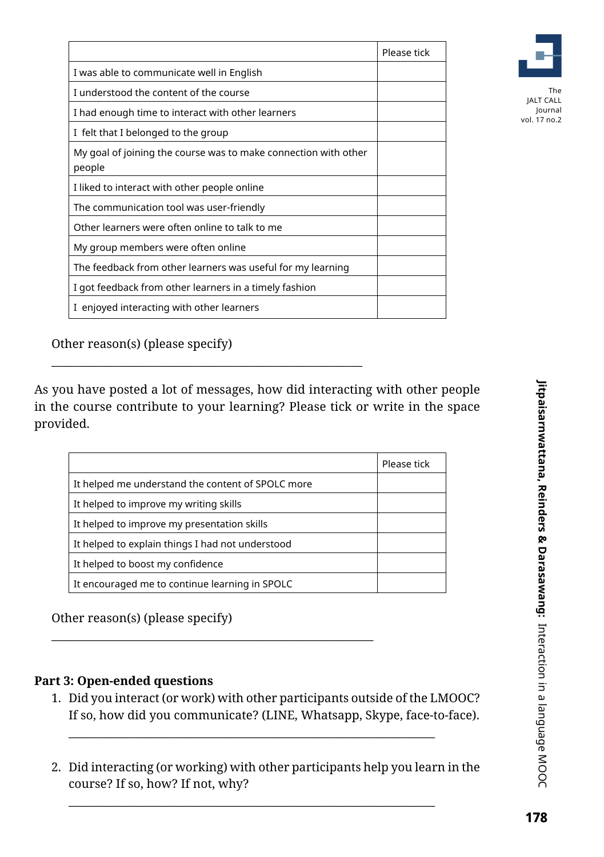|                                                                           | Please tick |
|---------------------------------------------------------------------------|-------------|
| I was able to communicate well in English                                 |             |
| I understood the content of the course                                    |             |
| I had enough time to interact with other learners                         |             |
| I felt that I belonged to the group                                       |             |
| My goal of joining the course was to make connection with other<br>people |             |
| I liked to interact with other people online                              |             |
| The communication tool was user-friendly                                  |             |
| Other learners were often online to talk to me                            |             |
| My group members were often online                                        |             |
| The feedback from other learners was useful for my learning               |             |
| I got feedback from other learners in a timely fashion                    |             |
| I enjoyed interacting with other learners                                 |             |



Journal vol. 17 no.2

Other reason(s) (please specify)

As you have posted a lot of messages, how did interacting with other people in the course contribute to your learning? Please tick or write in the space provided.

\_\_\_\_\_\_\_\_\_\_\_\_\_\_\_\_\_\_\_\_\_\_\_\_\_\_\_\_\_\_\_\_\_\_\_\_\_\_\_\_\_\_\_\_\_\_\_\_\_\_\_\_\_\_\_\_

\_\_\_\_\_\_\_\_\_\_\_\_\_\_\_\_\_\_\_\_\_\_\_\_\_\_\_\_\_\_\_\_\_\_\_\_\_\_\_\_\_\_\_\_\_\_\_\_\_\_\_\_\_\_\_\_\_\_

|                                                   | Please tick |
|---------------------------------------------------|-------------|
| It helped me understand the content of SPOLC more |             |
| It helped to improve my writing skills            |             |
| It helped to improve my presentation skills       |             |
| It helped to explain things I had not understood  |             |
| It helped to boost my confidence                  |             |
| It encouraged me to continue learning in SPOLC    |             |

Other reason(s) (please specify)

### **Part 3: Open-ended questions**

1. Did you interact (or work) with other participants outside of the LMOOC? If so, how did you communicate? (LINE, Whatsapp, Skype, face-to-face).

\_\_\_\_\_\_\_\_\_\_\_\_\_\_\_\_\_\_\_\_\_\_\_\_\_\_\_\_\_\_\_\_\_\_\_\_\_\_\_\_\_\_\_\_\_\_\_\_\_\_\_\_\_\_\_\_\_\_\_\_\_\_\_\_\_\_

\_\_\_\_\_\_\_\_\_\_\_\_\_\_\_\_\_\_\_\_\_\_\_\_\_\_\_\_\_\_\_\_\_\_\_\_\_\_\_\_\_\_\_\_\_\_\_\_\_\_\_\_\_\_\_\_\_\_\_\_\_\_\_\_\_\_

2. Did interacting (or working) with other participants help you learn in the course? If so, how? If not, why?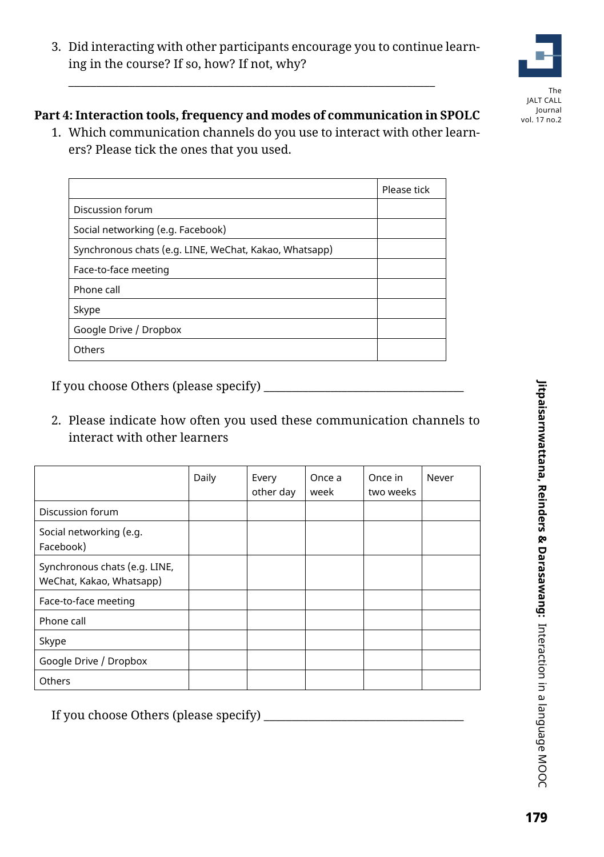3. Did interacting with other participants encourage you to continue learning in the course? If so, how? If not, why?

# The JALT CALL Journal vol. 17 no.2

### **Part 4: Interaction tools, frequency and modes of communication in SPOLC**

\_\_\_\_\_\_\_\_\_\_\_\_\_\_\_\_\_\_\_\_\_\_\_\_\_\_\_\_\_\_\_\_\_\_\_\_\_\_\_\_\_\_\_\_\_\_\_\_\_\_\_\_\_\_\_\_\_\_\_\_\_\_\_\_\_\_

1. Which communication channels do you use to interact with other learners? Please tick the ones that you used.

|                                                        | Please tick |
|--------------------------------------------------------|-------------|
| Discussion forum                                       |             |
| Social networking (e.g. Facebook)                      |             |
| Synchronous chats (e.g. LINE, WeChat, Kakao, Whatsapp) |             |
| Face-to-face meeting                                   |             |
| Phone call                                             |             |
| Skype                                                  |             |
| Google Drive / Dropbox                                 |             |
| Others                                                 |             |

If you choose Others (please specify) \_\_\_\_\_\_\_\_\_\_\_\_\_\_\_\_\_\_\_\_\_\_\_\_\_\_\_\_\_\_\_\_\_\_\_\_

2. Please indicate how often you used these communication channels to interact with other learners

|                                                           | Daily | Every<br>other day | Once a<br>week | Once in<br>two weeks | Never |
|-----------------------------------------------------------|-------|--------------------|----------------|----------------------|-------|
| Discussion forum                                          |       |                    |                |                      |       |
| Social networking (e.g.<br>Facebook)                      |       |                    |                |                      |       |
| Synchronous chats (e.g. LINE,<br>WeChat, Kakao, Whatsapp) |       |                    |                |                      |       |
| Face-to-face meeting                                      |       |                    |                |                      |       |
| Phone call                                                |       |                    |                |                      |       |
| Skype                                                     |       |                    |                |                      |       |
| Google Drive / Dropbox                                    |       |                    |                |                      |       |
| <b>Others</b>                                             |       |                    |                |                      |       |

If you choose Others (please specify) \_\_\_\_\_\_\_\_\_\_\_\_\_\_\_\_\_\_\_\_\_\_\_\_\_\_\_\_\_\_\_\_\_\_\_\_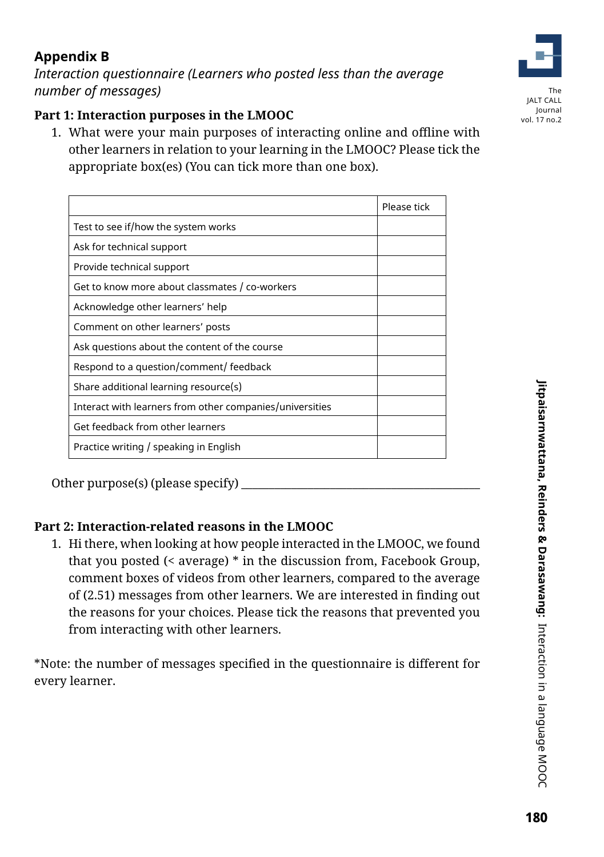# **Appendix B**

*Interaction questionnaire (Learners who posted less than the average number of messages)* 

### **Part 1: Interaction purposes in the LMOOC**

1. What were your main purposes of interacting online and offline with other learners in relation to your learning in the LMOOC? Please tick the appropriate box(es) (You can tick more than one box).

|                                                          | Please tick |
|----------------------------------------------------------|-------------|
| Test to see if/how the system works                      |             |
| Ask for technical support                                |             |
| Provide technical support                                |             |
| Get to know more about classmates / co-workers           |             |
| Acknowledge other learners' help                         |             |
| Comment on other learners' posts                         |             |
| Ask questions about the content of the course            |             |
| Respond to a question/comment/ feedback                  |             |
| Share additional learning resource(s)                    |             |
| Interact with learners from other companies/universities |             |
| Get feedback from other learners                         |             |
| Practice writing / speaking in English                   |             |

Other purpose(s) (please specify)  $\equiv$ 

### **Part 2: Interaction-related reasons in the LMOOC**

1. Hi there, when looking at how people interacted in the LMOOC, we found that you posted (< average) \* in the discussion from, Facebook Group, comment boxes of videos from other learners, compared to the average of (2.51) messages from other learners. We are interested in finding out the reasons for your choices. Please tick the reasons that prevented you from interacting with other learners.

\*Note: the number of messages specified in the questionnaire is different for every learner.

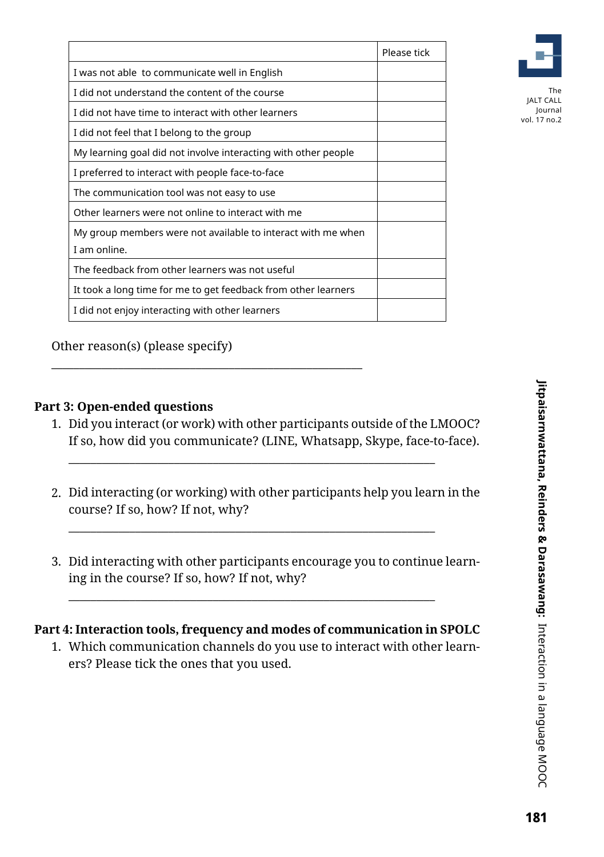|                                                                | Please tick |
|----------------------------------------------------------------|-------------|
| I was not able to communicate well in English                  |             |
| I did not understand the content of the course                 |             |
| I did not have time to interact with other learners            |             |
| I did not feel that I belong to the group                      |             |
| My learning goal did not involve interacting with other people |             |
| I preferred to interact with people face-to-face               |             |
| The communication tool was not easy to use                     |             |
| Other learners were not online to interact with me             |             |
| My group members were not available to interact with me when   |             |
| I am online.                                                   |             |
| The feedback from other learners was not useful                |             |
| It took a long time for me to get feedback from other learners |             |
| I did not enjoy interacting with other learners                |             |



Journal vol. 17 no.2

Other reason(s) (please specify)

\_\_\_\_\_\_\_\_\_\_\_\_\_\_\_\_\_\_\_\_\_\_\_\_\_\_\_\_\_\_\_\_\_\_\_\_\_\_\_\_\_\_\_\_\_\_\_\_\_\_\_\_\_\_\_\_

### **Part 3: Open-ended questions**

1. Did you interact (or work) with other participants outside of the LMOOC? If so, how did you communicate? (LINE, Whatsapp, Skype, face-to-face).

\_\_\_\_\_\_\_\_\_\_\_\_\_\_\_\_\_\_\_\_\_\_\_\_\_\_\_\_\_\_\_\_\_\_\_\_\_\_\_\_\_\_\_\_\_\_\_\_\_\_\_\_\_\_\_\_\_\_\_\_\_\_\_\_\_\_

\_\_\_\_\_\_\_\_\_\_\_\_\_\_\_\_\_\_\_\_\_\_\_\_\_\_\_\_\_\_\_\_\_\_\_\_\_\_\_\_\_\_\_\_\_\_\_\_\_\_\_\_\_\_\_\_\_\_\_\_\_\_\_\_\_\_

- 2. Did interacting (or working) with other participants help you learn in the course? If so, how? If not, why?
- 3. Did interacting with other participants encourage you to continue learning in the course? If so, how? If not, why?

### **Part 4: Interaction tools, frequency and modes of communication in SPOLC**

\_\_\_\_\_\_\_\_\_\_\_\_\_\_\_\_\_\_\_\_\_\_\_\_\_\_\_\_\_\_\_\_\_\_\_\_\_\_\_\_\_\_\_\_\_\_\_\_\_\_\_\_\_\_\_\_\_\_\_\_\_\_\_\_\_\_

1. Which communication channels do you use to interact with other learners? Please tick the ones that you used.